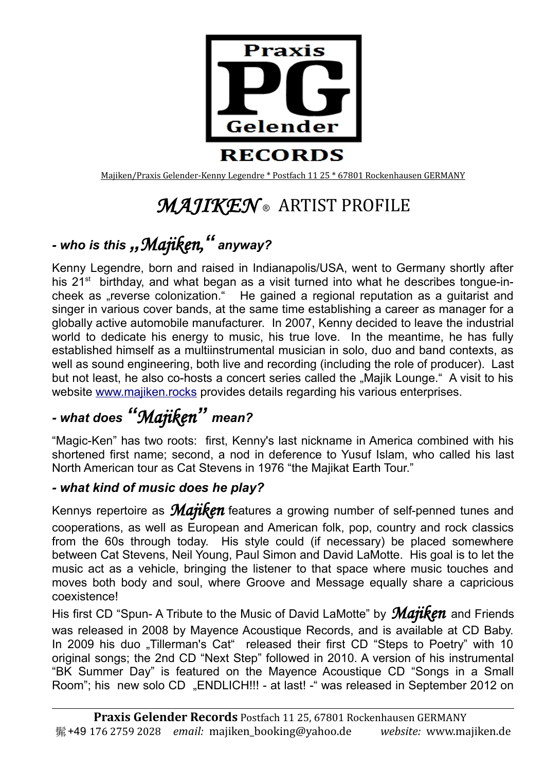

Majiken/Praxis Gelender-Kenny Legendre \* Postfach 11 25 \* 67801 Rockenhausen GERMANY

# *MAJIKEN ®* ARTIST PROFILE

## *- who is this "Majiken," anyway?*

Kenny Legendre, born and raised in Indianapolis/USA, went to Germany shortly after his  $21<sup>st</sup>$  birthday, and what began as a visit turned into what he describes tongue-incheek as "reverse colonization." He gained a regional reputation as a guitarist and singer in various cover bands, at the same time establishing a career as manager for a globally active automobile manufacturer. In 2007, Kenny decided to leave the industrial world to dedicate his energy to music, his true love. In the meantime, he has fully established himself as a multiinstrumental musician in solo, duo and band contexts, as well as sound engineering, both live and recording (including the role of producer). Last but not least, he also co-hosts a concert series called the "Majik Lounge." A visit to his website [www.majiken.rocks](http://www.majiken.de/) provides details regarding his various enterprises.

## *- what does "Majiken" mean?*

"Magic-Ken" has two roots: first, Kenny's last nickname in America combined with his shortened first name; second, a nod in deference to Yusuf Islam, who called his last North American tour as Cat Stevens in 1976 "the Majikat Earth Tour."

#### *- what kind of music does he play?*

Kennys repertoire as *Majiken* features a growing number of self-penned tunes and cooperations, as well as European and American folk, pop, country and rock classics from the 60s through today. His style could (if necessary) be placed somewhere between Cat Stevens, Neil Young, Paul Simon and David LaMotte. His goal is to let the music act as a vehicle, bringing the listener to that space where music touches and moves both body and soul, where Groove and Message equally share a capricious coexistence!

His first CD "Spun- A Tribute to the Music of David LaMotte" by *Majiken* and Friends was released in 2008 by Mayence Acoustique Records, and is available at CD Baby. In 2009 his duo ...Tillerman's Cat" released their first CD "Steps to Poetry" with 10 original songs; the 2nd CD "Next Step" followed in 2010. A version of his instrumental "BK Summer Day" is featured on the Mayence Acoustique CD "Songs in a Small Room"; his new solo CD "ENDLICH!!! - at last! - "was released in September 2012 on